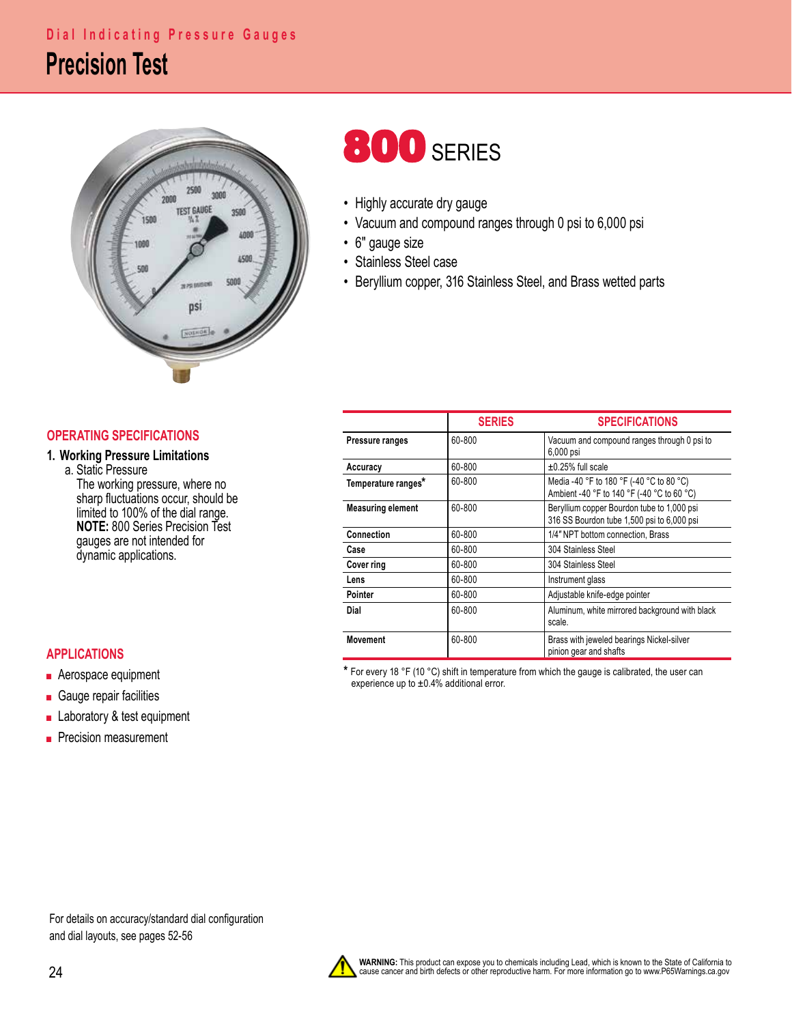# **Precision Test Dial Indicating Pressure Gauges**



# **800 SERIES**

- Highly accurate dry gauge
- Vacuum and compound ranges through 0 psi to 6,000 psi
- 6" gauge size
- Stainless Steel case
- Beryllium copper, 316 Stainless Steel, and Brass wetted parts

## **OPERATING SPECIFICATIONS**

### **1. Working Pressure Limitations**

 a. Static Pressure The working pressure, where no sharp fluctuations occur, should be limited to 100% of the dial range.<br>**NOTE:** 800 Series Precision Test gauges are not intended for dynamic applications.

### **APPLICATIONS**

- Aerospace equipment
- Gauge repair facilities
- Laboratory & test equipment
- Precision measurement

|                          | <b>SERIES</b> | <b>SPECIFICATIONS</b>                                                                    |  |  |  |  |
|--------------------------|---------------|------------------------------------------------------------------------------------------|--|--|--|--|
| Pressure ranges          | 60-800        | Vacuum and compound ranges through 0 psi to<br>6,000 psi                                 |  |  |  |  |
| Accuracy                 | 60-800        | $\pm 0.25\%$ full scale                                                                  |  |  |  |  |
| Temperature ranges*      | 60-800        | Media -40 °F to 180 °F (-40 °C to 80 °C)<br>Ambient -40 °F to 140 °F (-40 °C to 60 °C)   |  |  |  |  |
| <b>Measuring element</b> | 60-800        | Beryllium copper Bourdon tube to 1,000 psi<br>316 SS Bourdon tube 1,500 psi to 6,000 psi |  |  |  |  |
| Connection               | 60-800        | 1/4" NPT bottom connection, Brass                                                        |  |  |  |  |
| Case                     | 60-800        | 304 Stainless Steel                                                                      |  |  |  |  |
| Cover ring               | 60-800        | 304 Stainless Steel                                                                      |  |  |  |  |
| Lens                     | 60-800        | Instrument glass                                                                         |  |  |  |  |
| Pointer                  | 60-800        | Adjustable knife-edge pointer                                                            |  |  |  |  |
| Dial                     | 60-800        | Aluminum, white mirrored background with black<br>scale.                                 |  |  |  |  |
| <b>Movement</b>          | 60-800        | Brass with jeweled bearings Nickel-silver<br>pinion gear and shafts                      |  |  |  |  |

**\*** For every 18 °F (10 °C) shift in temperature from which the gauge is calibrated, the user can experience up to  $\pm 0.4\%$  additional error.